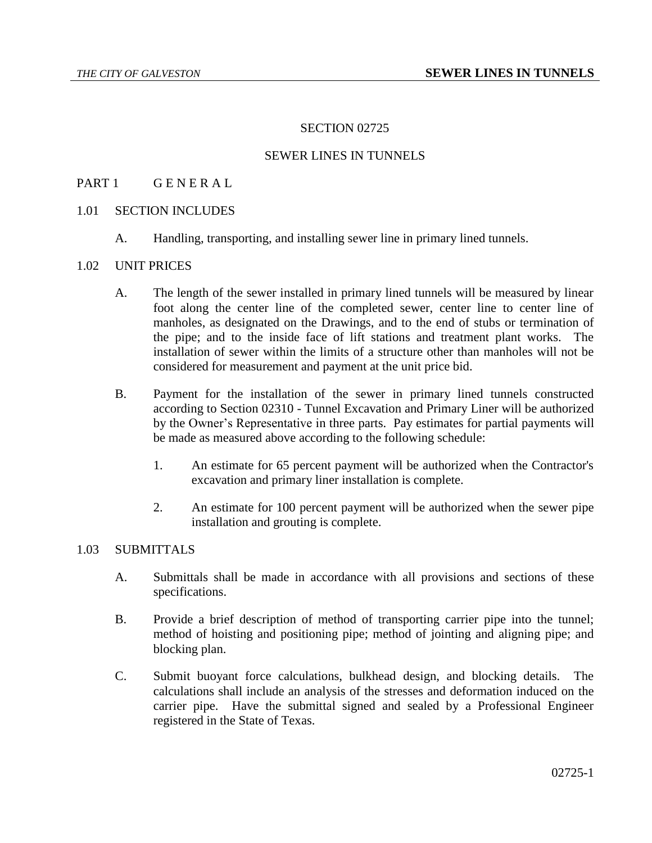## SECTION 02725

## SEWER LINES IN TUNNELS

## PART 1 GENERAL

## 1.01 SECTION INCLUDES

A. Handling, transporting, and installing sewer line in primary lined tunnels.

## 1.02 UNIT PRICES

- A. The length of the sewer installed in primary lined tunnels will be measured by linear foot along the center line of the completed sewer, center line to center line of manholes, as designated on the Drawings, and to the end of stubs or termination of the pipe; and to the inside face of lift stations and treatment plant works. The installation of sewer within the limits of a structure other than manholes will not be considered for measurement and payment at the unit price bid.
- B. Payment for the installation of the sewer in primary lined tunnels constructed according to Section 02310 - Tunnel Excavation and Primary Liner will be authorized by the Owner's Representative in three parts. Pay estimates for partial payments will be made as measured above according to the following schedule:
	- 1. An estimate for 65 percent payment will be authorized when the Contractor's excavation and primary liner installation is complete.
	- 2. An estimate for 100 percent payment will be authorized when the sewer pipe installation and grouting is complete.

#### 1.03 SUBMITTALS

- A. Submittals shall be made in accordance with all provisions and sections of these specifications.
- B. Provide a brief description of method of transporting carrier pipe into the tunnel; method of hoisting and positioning pipe; method of jointing and aligning pipe; and blocking plan.
- C. Submit buoyant force calculations, bulkhead design, and blocking details. The calculations shall include an analysis of the stresses and deformation induced on the carrier pipe. Have the submittal signed and sealed by a Professional Engineer registered in the State of Texas.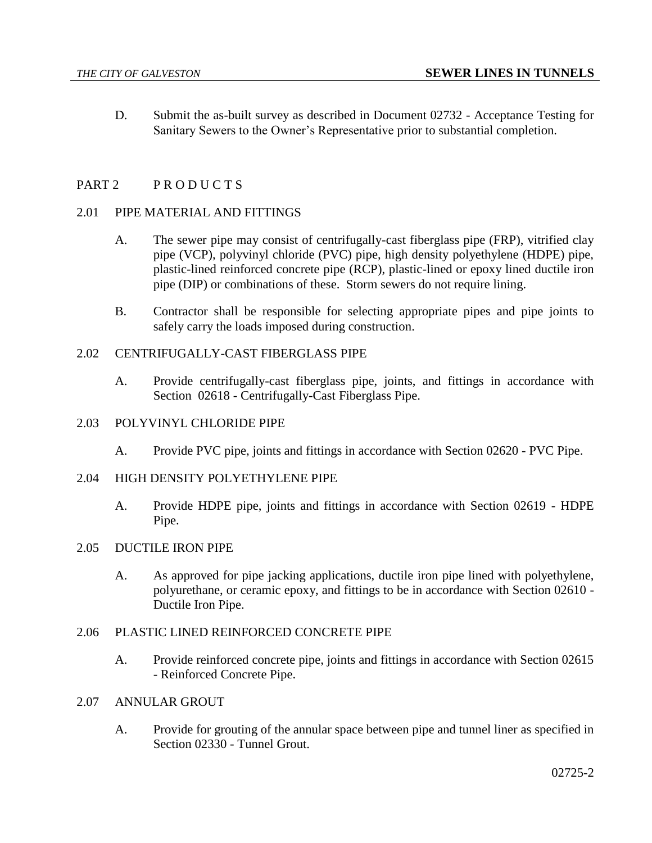D. Submit the as-built survey as described in Document 02732 - Acceptance Testing for Sanitary Sewers to the Owner's Representative prior to substantial completion.

# PART 2 PRODUCTS

## 2.01 PIPE MATERIAL AND FITTINGS

- A. The sewer pipe may consist of centrifugally-cast fiberglass pipe (FRP), vitrified clay pipe (VCP), polyvinyl chloride (PVC) pipe, high density polyethylene (HDPE) pipe, plastic-lined reinforced concrete pipe (RCP), plastic-lined or epoxy lined ductile iron pipe (DIP) or combinations of these. Storm sewers do not require lining.
- B. Contractor shall be responsible for selecting appropriate pipes and pipe joints to safely carry the loads imposed during construction.

# 2.02 CENTRIFUGALLY-CAST FIBERGLASS PIPE

A. Provide centrifugally-cast fiberglass pipe, joints, and fittings in accordance with Section 02618 - Centrifugally-Cast Fiberglass Pipe.

## 2.03 POLYVINYL CHLORIDE PIPE

A. Provide PVC pipe, joints and fittings in accordance with Section 02620 - PVC Pipe.

#### 2.04 HIGH DENSITY POLYETHYLENE PIPE

A. Provide HDPE pipe, joints and fittings in accordance with Section 02619 - HDPE Pipe.

#### 2.05 DUCTILE IRON PIPE

A. As approved for pipe jacking applications, ductile iron pipe lined with polyethylene, polyurethane, or ceramic epoxy, and fittings to be in accordance with Section 02610 - Ductile Iron Pipe.

#### 2.06 PLASTIC LINED REINFORCED CONCRETE PIPE

- A. Provide reinforced concrete pipe, joints and fittings in accordance with Section 02615 - Reinforced Concrete Pipe.
- 2.07 ANNULAR GROUT
	- A. Provide for grouting of the annular space between pipe and tunnel liner as specified in Section 02330 - Tunnel Grout.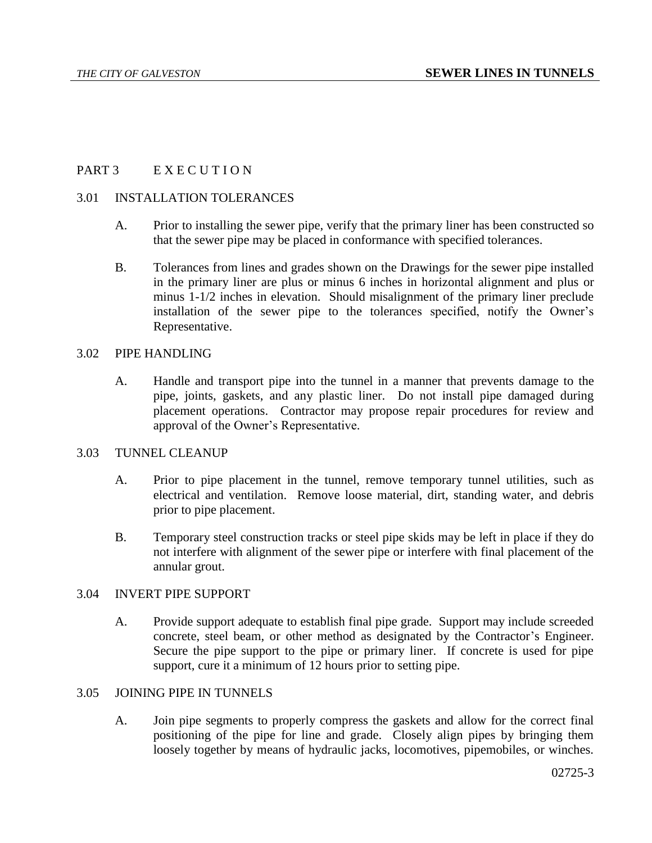# PART 3 EXECUTION

#### 3.01 INSTALLATION TOLERANCES

- A. Prior to installing the sewer pipe, verify that the primary liner has been constructed so that the sewer pipe may be placed in conformance with specified tolerances.
- B. Tolerances from lines and grades shown on the Drawings for the sewer pipe installed in the primary liner are plus or minus 6 inches in horizontal alignment and plus or minus 1-1/2 inches in elevation. Should misalignment of the primary liner preclude installation of the sewer pipe to the tolerances specified, notify the Owner's Representative.

## 3.02 PIPE HANDLING

A. Handle and transport pipe into the tunnel in a manner that prevents damage to the pipe, joints, gaskets, and any plastic liner. Do not install pipe damaged during placement operations. Contractor may propose repair procedures for review and approval of the Owner's Representative.

## 3.03 TUNNEL CLEANUP

- A. Prior to pipe placement in the tunnel, remove temporary tunnel utilities, such as electrical and ventilation. Remove loose material, dirt, standing water, and debris prior to pipe placement.
- B. Temporary steel construction tracks or steel pipe skids may be left in place if they do not interfere with alignment of the sewer pipe or interfere with final placement of the annular grout.

#### 3.04 INVERT PIPE SUPPORT

A. Provide support adequate to establish final pipe grade. Support may include screeded concrete, steel beam, or other method as designated by the Contractor's Engineer. Secure the pipe support to the pipe or primary liner. If concrete is used for pipe support, cure it a minimum of 12 hours prior to setting pipe.

# 3.05 JOINING PIPE IN TUNNELS

A. Join pipe segments to properly compress the gaskets and allow for the correct final positioning of the pipe for line and grade. Closely align pipes by bringing them loosely together by means of hydraulic jacks, locomotives, pipemobiles, or winches.